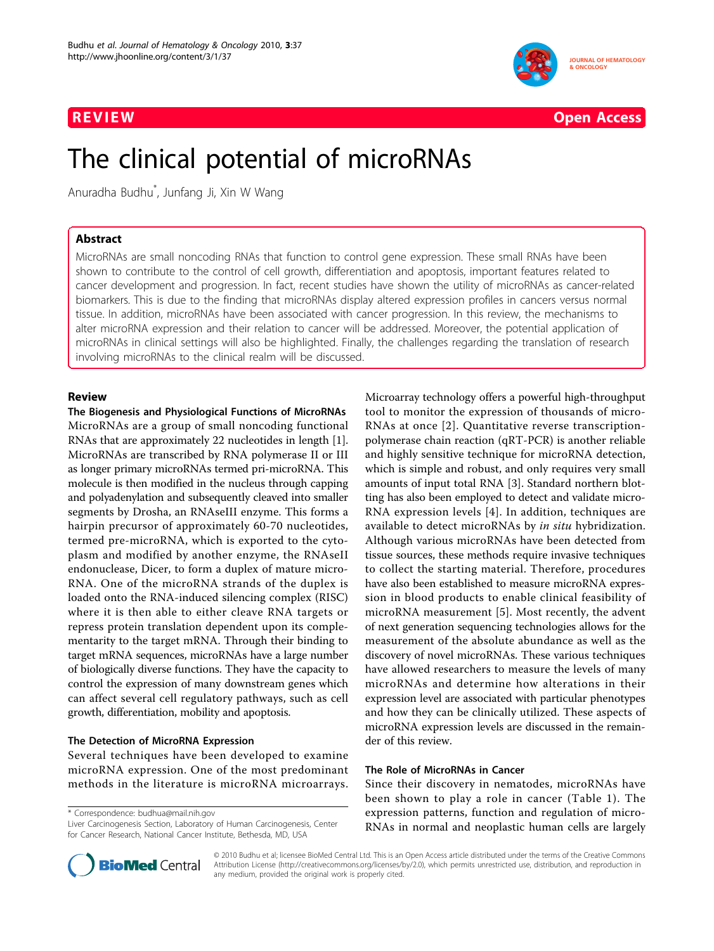

R EVI EW Open Access

# The clinical potential of microRNAs

Anuradha Budhu\* , Junfang Ji, Xin W Wang

# Abstract

MicroRNAs are small noncoding RNAs that function to control gene expression. These small RNAs have been shown to contribute to the control of cell growth, differentiation and apoptosis, important features related to cancer development and progression. In fact, recent studies have shown the utility of microRNAs as cancer-related biomarkers. This is due to the finding that microRNAs display altered expression profiles in cancers versus normal tissue. In addition, microRNAs have been associated with cancer progression. In this review, the mechanisms to alter microRNA expression and their relation to cancer will be addressed. Moreover, the potential application of microRNAs in clinical settings will also be highlighted. Finally, the challenges regarding the translation of research involving microRNAs to the clinical realm will be discussed.

# Review

The Biogenesis and Physiological Functions of MicroRNAs MicroRNAs are a group of small noncoding functional RNAs that are approximately 22 nucleotides in length [\[1](#page-3-0)]. MicroRNAs are transcribed by RNA polymerase II or III as longer primary microRNAs termed pri-microRNA. This molecule is then modified in the nucleus through capping and polyadenylation and subsequently cleaved into smaller segments by Drosha, an RNAseIII enzyme. This forms a hairpin precursor of approximately 60-70 nucleotides, termed pre-microRNA, which is exported to the cytoplasm and modified by another enzyme, the RNAseII endonuclease, Dicer, to form a duplex of mature micro-RNA. One of the microRNA strands of the duplex is loaded onto the RNA-induced silencing complex (RISC) where it is then able to either cleave RNA targets or repress protein translation dependent upon its complementarity to the target mRNA. Through their binding to target mRNA sequences, microRNAs have a large number of biologically diverse functions. They have the capacity to control the expression of many downstream genes which can affect several cell regulatory pathways, such as cell growth, differentiation, mobility and apoptosis.

## The Detection of MicroRNA Expression

Several techniques have been developed to examine microRNA expression. One of the most predominant methods in the literature is microRNA microarrays.

\* Correspondence: [budhua@mail.nih.gov](mailto:budhua@mail.nih.gov)

Liver Carcinogenesis Section, Laboratory of Human Carcinogenesis, Center for Cancer Research, National Cancer Institute, Bethesda, MD, USA



## The Role of MicroRNAs in Cancer

Since their discovery in nematodes, microRNAs have been shown to play a role in cancer (Table [1](#page-1-0)). The expression patterns, function and regulation of micro-RNAs in normal and neoplastic human cells are largely



© 2010 Budhu et al; licensee BioMed Central Ltd. This is an Open Access article distributed under the terms of the Creative Commons Attribution License [\(http://creativecommons.org/licenses/by/2.0](http://creativecommons.org/licenses/by/2.0)), which permits unrestricted use, distribution, and reproduction in any medium, provided the original work is properly cited.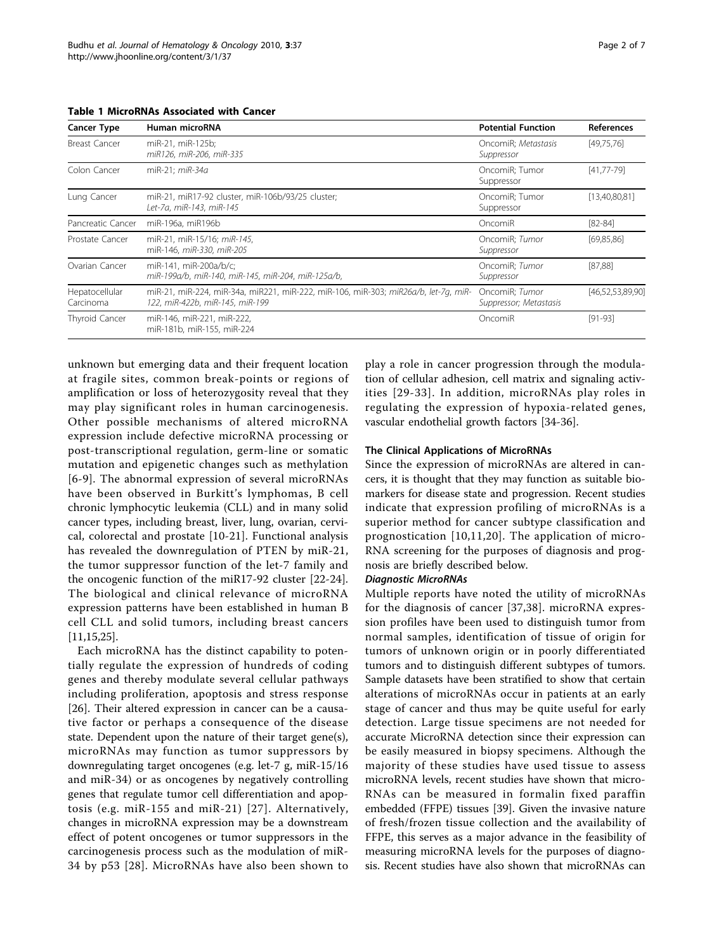<span id="page-1-0"></span>Table 1 MicroRNAs Associated with Cancer

| <b>Cancer Type</b>          | Human microRNA                                                                                                         | <b>Potential Function</b>                | <b>References</b> |
|-----------------------------|------------------------------------------------------------------------------------------------------------------------|------------------------------------------|-------------------|
| <b>Breast Cancer</b>        | miR-21, miR-125b;<br>miR126, miR-206, miR-335                                                                          | OncomiR; Metastasis<br>Suppressor        | [49,75,76]        |
| Colon Cancer                | OncomiR; Tumor<br>miR-21; miR-34a<br>Suppressor                                                                        |                                          | $[41, 77 - 79]$   |
| Lung Cancer                 | miR-21, miR17-92 cluster, miR-106b/93/25 cluster;<br>Let-7a, miR-143, miR-145                                          | OncomiR; Tumor<br>Suppressor             | [13,40,80,81]     |
| Pancreatic Cancer           | miR-196a, miR196b                                                                                                      | OncomiR                                  | $[82 - 84]$       |
| Prostate Cancer             | miR-21, miR-15/16; miR-145,<br>miR-146, miR-330, miR-205                                                               | OncomiR; Tumor<br>Suppressor             | [69,85,86]        |
| Ovarian Cancer              | miR-141, miR-200a/b/c:<br>miR-199a/b, miR-140, miR-145, miR-204, miR-125a/b,                                           | OncomiR: Tumor<br>Suppressor             | [87, 88]          |
| Hepatocellular<br>Carcinoma | miR-21, miR-224, miR-34a, miR221, miR-222, miR-106, miR-303; miR26a/b, let-7q, miR-<br>122, miR-422b, miR-145, miR-199 | OncomiR; Tumor<br>Suppressor; Metastasis | [46,52,53,89,90]  |
| Thyroid Cancer              | miR-146, miR-221, miR-222,<br>miR-181b, miR-155, miR-224                                                               | OncomiR                                  | $[91-93]$         |

unknown but emerging data and their frequent location at fragile sites, common break-points or regions of amplification or loss of heterozygosity reveal that they may play significant roles in human carcinogenesis. Other possible mechanisms of altered microRNA expression include defective microRNA processing or post-transcriptional regulation, germ-line or somatic mutation and epigenetic changes such as methylation [[6](#page-3-0)-[9](#page-4-0)]. The abnormal expression of several microRNAs have been observed in Burkitt's lymphomas, B cell chronic lymphocytic leukemia (CLL) and in many solid cancer types, including breast, liver, lung, ovarian, cervical, colorectal and prostate [[10-21](#page-4-0)]. Functional analysis has revealed the downregulation of PTEN by miR-21, the tumor suppressor function of the let-7 family and the oncogenic function of the miR17-92 cluster [[22-24](#page-4-0)]. The biological and clinical relevance of microRNA expression patterns have been established in human B cell CLL and solid tumors, including breast cancers [[11,15,25](#page-4-0)].

Each microRNA has the distinct capability to potentially regulate the expression of hundreds of coding genes and thereby modulate several cellular pathways including proliferation, apoptosis and stress response [[26\]](#page-4-0). Their altered expression in cancer can be a causative factor or perhaps a consequence of the disease state. Dependent upon the nature of their target gene(s), microRNAs may function as tumor suppressors by downregulating target oncogenes (e.g. let-7 g, miR-15/16 and miR-34) or as oncogenes by negatively controlling genes that regulate tumor cell differentiation and apoptosis (e.g. miR-155 and miR-21) [[27](#page-4-0)]. Alternatively, changes in microRNA expression may be a downstream effect of potent oncogenes or tumor suppressors in the carcinogenesis process such as the modulation of miR-34 by p53 [\[28\]](#page-4-0). MicroRNAs have also been shown to play a role in cancer progression through the modulation of cellular adhesion, cell matrix and signaling activities [[29](#page-4-0)-[33\]](#page-4-0). In addition, microRNAs play roles in regulating the expression of hypoxia-related genes, vascular endothelial growth factors [[34](#page-4-0)-[36\]](#page-4-0).

## The Clinical Applications of MicroRNAs

Since the expression of microRNAs are altered in cancers, it is thought that they may function as suitable biomarkers for disease state and progression. Recent studies indicate that expression profiling of microRNAs is a superior method for cancer subtype classification and prognostication [[10](#page-4-0),[11,20\]](#page-4-0). The application of micro-RNA screening for the purposes of diagnosis and prognosis are briefly described below.

#### Diagnostic MicroRNAs

Multiple reports have noted the utility of microRNAs for the diagnosis of cancer [[37,38](#page-4-0)]. microRNA expression profiles have been used to distinguish tumor from normal samples, identification of tissue of origin for tumors of unknown origin or in poorly differentiated tumors and to distinguish different subtypes of tumors. Sample datasets have been stratified to show that certain alterations of microRNAs occur in patients at an early stage of cancer and thus may be quite useful for early detection. Large tissue specimens are not needed for accurate MicroRNA detection since their expression can be easily measured in biopsy specimens. Although the majority of these studies have used tissue to assess microRNA levels, recent studies have shown that micro-RNAs can be measured in formalin fixed paraffin embedded (FFPE) tissues [\[39](#page-4-0)]. Given the invasive nature of fresh/frozen tissue collection and the availability of FFPE, this serves as a major advance in the feasibility of measuring microRNA levels for the purposes of diagnosis. Recent studies have also shown that microRNAs can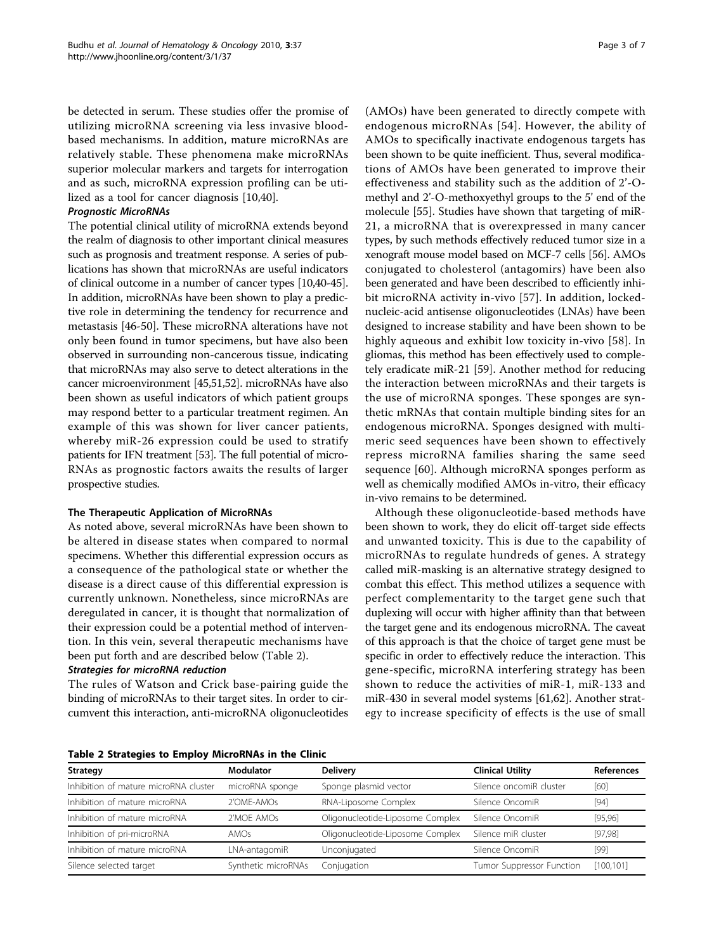be detected in serum. These studies offer the promise of utilizing microRNA screening via less invasive bloodbased mechanisms. In addition, mature microRNAs are relatively stable. These phenomena make microRNAs superior molecular markers and targets for interrogation and as such, microRNA expression profiling can be utilized as a tool for cancer diagnosis [\[10,40](#page-4-0)].

# Prognostic MicroRNAs

The potential clinical utility of microRNA extends beyond the realm of diagnosis to other important clinical measures such as prognosis and treatment response. A series of publications has shown that microRNAs are useful indicators of clinical outcome in a number of cancer types [\[10,40](#page-4-0)-[45](#page-4-0)]. In addition, microRNAs have been shown to play a predictive role in determining the tendency for recurrence and metastasis [\[46](#page-4-0)-[50](#page-5-0)]. These microRNA alterations have not only been found in tumor specimens, but have also been observed in surrounding non-cancerous tissue, indicating that microRNAs may also serve to detect alterations in the cancer microenvironment [[45](#page-4-0)[,51,52](#page-5-0)]. microRNAs have also been shown as useful indicators of which patient groups may respond better to a particular treatment regimen. An example of this was shown for liver cancer patients, whereby miR-26 expression could be used to stratify patients for IFN treatment [[53](#page-5-0)]. The full potential of micro-RNAs as prognostic factors awaits the results of larger prospective studies.

## The Therapeutic Application of MicroRNAs

As noted above, several microRNAs have been shown to be altered in disease states when compared to normal specimens. Whether this differential expression occurs as a consequence of the pathological state or whether the disease is a direct cause of this differential expression is currently unknown. Nonetheless, since microRNAs are deregulated in cancer, it is thought that normalization of their expression could be a potential method of intervention. In this vein, several therapeutic mechanisms have been put forth and are described below (Table 2).

## Strategies for microRNA reduction

The rules of Watson and Crick base-pairing guide the binding of microRNAs to their target sites. In order to circumvent this interaction, anti-microRNA oligonucleotides (AMOs) have been generated to directly compete with endogenous microRNAs [[54\]](#page-5-0). However, the ability of AMOs to specifically inactivate endogenous targets has been shown to be quite inefficient. Thus, several modifications of AMOs have been generated to improve their effectiveness and stability such as the addition of 2'-Omethyl and 2'-O-methoxyethyl groups to the 5' end of the molecule [[55\]](#page-5-0). Studies have shown that targeting of miR-21, a microRNA that is overexpressed in many cancer types, by such methods effectively reduced tumor size in a xenograft mouse model based on MCF-7 cells [\[56\]](#page-5-0). AMOs conjugated to cholesterol (antagomirs) have been also been generated and have been described to efficiently inhibit microRNA activity in-vivo [[57\]](#page-5-0). In addition, lockednucleic-acid antisense oligonucleotides (LNAs) have been designed to increase stability and have been shown to be highly aqueous and exhibit low toxicity in-vivo [[58](#page-5-0)]. In gliomas, this method has been effectively used to completely eradicate miR-21 [\[59](#page-5-0)]. Another method for reducing the interaction between microRNAs and their targets is the use of microRNA sponges. These sponges are synthetic mRNAs that contain multiple binding sites for an endogenous microRNA. Sponges designed with multimeric seed sequences have been shown to effectively repress microRNA families sharing the same seed sequence [[60](#page-5-0)]. Although microRNA sponges perform as well as chemically modified AMOs in-vitro, their efficacy in-vivo remains to be determined.

Although these oligonucleotide-based methods have been shown to work, they do elicit off-target side effects and unwanted toxicity. This is due to the capability of microRNAs to regulate hundreds of genes. A strategy called miR-masking is an alternative strategy designed to combat this effect. This method utilizes a sequence with perfect complementarity to the target gene such that duplexing will occur with higher affinity than that between the target gene and its endogenous microRNA. The caveat of this approach is that the choice of target gene must be specific in order to effectively reduce the interaction. This gene-specific, microRNA interfering strategy has been shown to reduce the activities of miR-1, miR-133 and miR-430 in several model systems [[61,62\]](#page-5-0). Another strategy to increase specificity of effects is the use of small

Table 2 Strategies to Employ MicroRNAs in the Clinic

| <b>Strategy</b>                       | Modulator           | <b>Delivery</b>                  | <b>Clinical Utility</b>   | References |
|---------------------------------------|---------------------|----------------------------------|---------------------------|------------|
| Inhibition of mature microRNA cluster | microRNA sponge     | Sponge plasmid vector            | Silence oncomiR cluster   | [60]       |
| Inhibition of mature microRNA         | $2'OMF-AMOS$        | RNA-Liposome Complex             | Silence OncomiR           | [94]       |
| Inhibition of mature microRNA         | 2'MOF AMOS          | Oligonucleotide-Liposome Complex | Silence OncomiR           | [95, 96]   |
| Inhibition of pri-microRNA            | <b>AMOs</b>         | Oligonucleotide-Liposome Complex | Silence miR cluster       | [97,98]    |
| Inhibition of mature microRNA         | LNA-antagomiR       | Unconjugated                     | Silence OncomiR           | [99]       |
| Silence selected target               | Synthetic microRNAs | Conjugation                      | Tumor Suppressor Function | [100, 101] |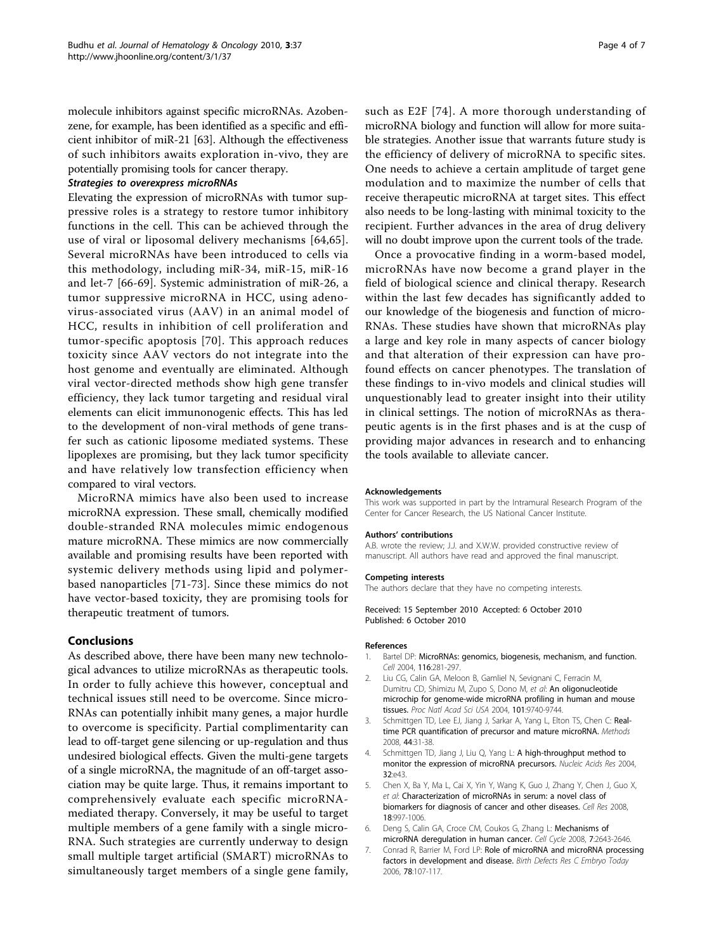<span id="page-3-0"></span>molecule inhibitors against specific microRNAs. Azobenzene, for example, has been identified as a specific and efficient inhibitor of miR-21 [[63\]](#page-5-0). Although the effectiveness of such inhibitors awaits exploration in-vivo, they are potentially promising tools for cancer therapy.

#### Strategies to overexpress microRNAs

Elevating the expression of microRNAs with tumor suppressive roles is a strategy to restore tumor inhibitory functions in the cell. This can be achieved through the use of viral or liposomal delivery mechanisms [[64](#page-5-0),[65](#page-5-0)]. Several microRNAs have been introduced to cells via this methodology, including miR-34, miR-15, miR-16 and let-7 [\[66](#page-5-0)-[69\]](#page-5-0). Systemic administration of miR-26, a tumor suppressive microRNA in HCC, using adenovirus-associated virus (AAV) in an animal model of HCC, results in inhibition of cell proliferation and tumor-specific apoptosis [\[70\]](#page-5-0). This approach reduces toxicity since AAV vectors do not integrate into the host genome and eventually are eliminated. Although viral vector-directed methods show high gene transfer efficiency, they lack tumor targeting and residual viral elements can elicit immunonogenic effects. This has led to the development of non-viral methods of gene transfer such as cationic liposome mediated systems. These lipoplexes are promising, but they lack tumor specificity and have relatively low transfection efficiency when compared to viral vectors.

MicroRNA mimics have also been used to increase microRNA expression. These small, chemically modified double-stranded RNA molecules mimic endogenous mature microRNA. These mimics are now commercially available and promising results have been reported with systemic delivery methods using lipid and polymerbased nanoparticles [[71-73\]](#page-5-0). Since these mimics do not have vector-based toxicity, they are promising tools for therapeutic treatment of tumors.

# Conclusions

As described above, there have been many new technological advances to utilize microRNAs as therapeutic tools. In order to fully achieve this however, conceptual and technical issues still need to be overcome. Since micro-RNAs can potentially inhibit many genes, a major hurdle to overcome is specificity. Partial complimentarity can lead to off-target gene silencing or up-regulation and thus undesired biological effects. Given the multi-gene targets of a single microRNA, the magnitude of an off-target association may be quite large. Thus, it remains important to comprehensively evaluate each specific microRNAmediated therapy. Conversely, it may be useful to target multiple members of a gene family with a single micro-RNA. Such strategies are currently underway to design small multiple target artificial (SMART) microRNAs to simultaneously target members of a single gene family, such as E2F [[74](#page-5-0)]. A more thorough understanding of microRNA biology and function will allow for more suitable strategies. Another issue that warrants future study is the efficiency of delivery of microRNA to specific sites. One needs to achieve a certain amplitude of target gene modulation and to maximize the number of cells that receive therapeutic microRNA at target sites. This effect also needs to be long-lasting with minimal toxicity to the recipient. Further advances in the area of drug delivery will no doubt improve upon the current tools of the trade.

Once a provocative finding in a worm-based model, microRNAs have now become a grand player in the field of biological science and clinical therapy. Research within the last few decades has significantly added to our knowledge of the biogenesis and function of micro-RNAs. These studies have shown that microRNAs play a large and key role in many aspects of cancer biology and that alteration of their expression can have profound effects on cancer phenotypes. The translation of these findings to in-vivo models and clinical studies will unquestionably lead to greater insight into their utility in clinical settings. The notion of microRNAs as therapeutic agents is in the first phases and is at the cusp of providing major advances in research and to enhancing the tools available to alleviate cancer.

#### Acknowledgements

This work was supported in part by the Intramural Research Program of the Center for Cancer Research, the US National Cancer Institute.

#### Authors' contributions

A.B. wrote the review; J.J. and X.W.W. provided constructive review of manuscript. All authors have read and approved the final manuscript.

#### Competing interests

The authors declare that they have no competing interests.

#### Received: 15 September 2010 Accepted: 6 October 2010 Published: 6 October 2010

#### References

- 1. Bartel DP: [MicroRNAs: genomics, biogenesis, mechanism, and function.](http://www.ncbi.nlm.nih.gov/pubmed/14744438?dopt=Abstract) Cell 2004, 116:281-297.
- 2. Liu CG, Calin GA, Meloon B, Gamliel N, Sevignani C, Ferracin M, Dumitru CD, Shimizu M, Zupo S, Dono M, et al: [An oligonucleotide](http://www.ncbi.nlm.nih.gov/pubmed/15210942?dopt=Abstract) [microchip for genome-wide microRNA profiling in human and mouse](http://www.ncbi.nlm.nih.gov/pubmed/15210942?dopt=Abstract) [tissues.](http://www.ncbi.nlm.nih.gov/pubmed/15210942?dopt=Abstract) Proc Natl Acad Sci USA 2004, 101:9740-9744.
- 3. Schmittgen TD, Lee EJ, Jiang J, Sarkar A, Yang L, Elton TS, Chen C: [Real](http://www.ncbi.nlm.nih.gov/pubmed/18158130?dopt=Abstract)[time PCR quantification of precursor and mature microRNA.](http://www.ncbi.nlm.nih.gov/pubmed/18158130?dopt=Abstract) Methods 2008, 44:31-38.
- 4. Schmittgen TD, Jiang J, Liu Q, Yang L: [A high-throughput method to](http://www.ncbi.nlm.nih.gov/pubmed/14985473?dopt=Abstract) [monitor the expression of microRNA precursors.](http://www.ncbi.nlm.nih.gov/pubmed/14985473?dopt=Abstract) Nucleic Acids Res 2004, 32:e43.
- 5. Chen X, Ba Y, Ma L, Cai X, Yin Y, Wang K, Guo J, Zhang Y, Chen J, Guo X, et al: [Characterization of microRNAs in serum: a novel class of](http://www.ncbi.nlm.nih.gov/pubmed/18766170?dopt=Abstract) [biomarkers for diagnosis of cancer and other diseases.](http://www.ncbi.nlm.nih.gov/pubmed/18766170?dopt=Abstract) Cell Res 2008, 18:997-1006.
- 6. Deng S, Calin GA, Croce CM, Coukos G, Zhang L: [Mechanisms of](http://www.ncbi.nlm.nih.gov/pubmed/18719391?dopt=Abstract) [microRNA deregulation in human cancer.](http://www.ncbi.nlm.nih.gov/pubmed/18719391?dopt=Abstract) Cell Cycle 2008, 7:2643-2646.
- 7. Conrad R, Barrier M, Ford LP: [Role of microRNA and microRNA processing](http://www.ncbi.nlm.nih.gov/pubmed/16847880?dopt=Abstract) [factors in development and disease.](http://www.ncbi.nlm.nih.gov/pubmed/16847880?dopt=Abstract) Birth Defects Res C Embryo Today 2006, 78:107-117.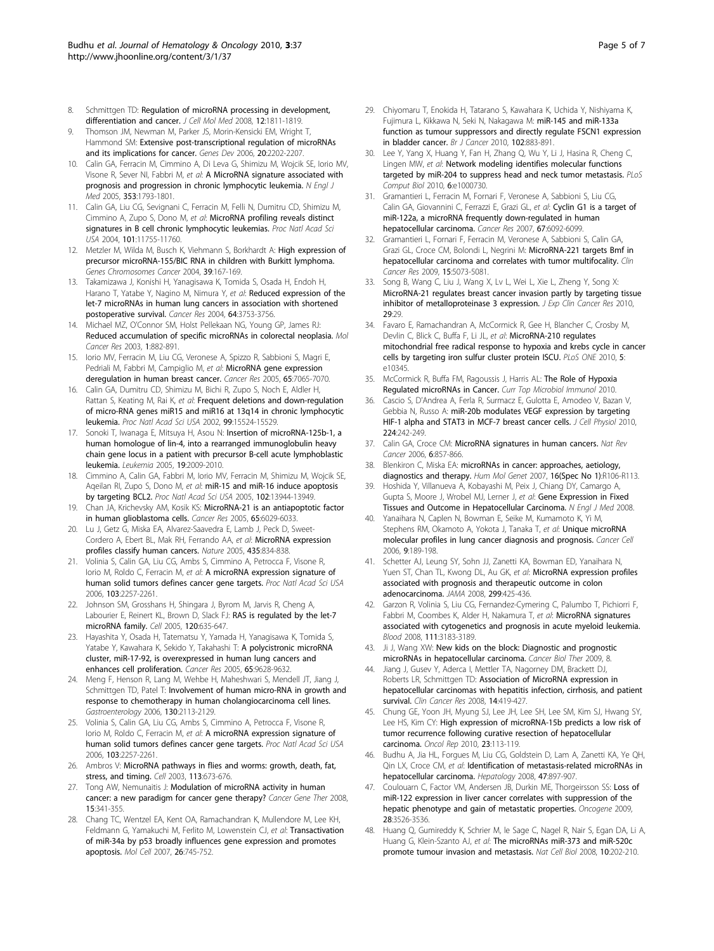- <span id="page-4-0"></span>8. Schmittgen TD: [Regulation of microRNA processing in development,](http://www.ncbi.nlm.nih.gov/pubmed/18752632?dopt=Abstract) [differentiation and cancer.](http://www.ncbi.nlm.nih.gov/pubmed/18752632?dopt=Abstract) J Cell Mol Med 2008, 12:1811-1819.
- Thomson JM, Newman M, Parker JS, Morin-Kensicki EM, Wright T, Hammond SM: [Extensive post-transcriptional regulation of microRNAs](http://www.ncbi.nlm.nih.gov/pubmed/16882971?dopt=Abstract) [and its implications for cancer.](http://www.ncbi.nlm.nih.gov/pubmed/16882971?dopt=Abstract) Genes Dev 2006, 20:2202-2207.
- 10. Calin GA, Ferracin M, Cimmino A, Di Leva G, Shimizu M, Wojcik SE, Iorio MV, Visone R, Sever NI, Fabbri M, et al: [A MicroRNA signature associated with](http://www.ncbi.nlm.nih.gov/pubmed/16251535?dopt=Abstract) [prognosis and progression in chronic lymphocytic leukemia.](http://www.ncbi.nlm.nih.gov/pubmed/16251535?dopt=Abstract) N Engl J Med 2005, 353:1793-1801.
- 11. Calin GA, Liu CG, Sevignani C, Ferracin M, Felli N, Dumitru CD, Shimizu M, Cimmino A, Zupo S, Dono M, et al: [MicroRNA profiling reveals distinct](http://www.ncbi.nlm.nih.gov/pubmed/15284443?dopt=Abstract) [signatures in B cell chronic lymphocytic leukemias.](http://www.ncbi.nlm.nih.gov/pubmed/15284443?dopt=Abstract) Proc Natl Acad Sci USA 2004, 101:11755-11760.
- 12. Metzler M, Wilda M, Busch K, Viehmann S, Borkhardt A: [High expression of](http://www.ncbi.nlm.nih.gov/pubmed/14695998?dopt=Abstract) [precursor microRNA-155/BIC RNA in children with Burkitt lymphoma.](http://www.ncbi.nlm.nih.gov/pubmed/14695998?dopt=Abstract) Genes Chromosomes Cancer 2004, 39:167-169.
- 13. Takamizawa J, Konishi H, Yanagisawa K, Tomida S, Osada H, Endoh H, Harano T, Yatabe Y, Nagino M, Nimura Y, et al: [Reduced expression of the](http://www.ncbi.nlm.nih.gov/pubmed/15172979?dopt=Abstract) [let-7 microRNAs in human lung cancers in association with shortened](http://www.ncbi.nlm.nih.gov/pubmed/15172979?dopt=Abstract) [postoperative survival.](http://www.ncbi.nlm.nih.gov/pubmed/15172979?dopt=Abstract) Cancer Res 2004, 64:3753-3756.
- 14. Michael MZ, O'Connor SM, Holst Pellekaan NG, Young GP, James RJ: [Reduced accumulation of specific microRNAs in colorectal neoplasia.](http://www.ncbi.nlm.nih.gov/pubmed/14573789?dopt=Abstract) Mol Cancer Res 2003, 1:882-891.
- 15. Iorio MV, Ferracin M, Liu CG, Veronese A, Spizzo R, Sabbioni S, Magri E, Pedriali M, Fabbri M, Campiglio M, et al: [MicroRNA gene expression](http://www.ncbi.nlm.nih.gov/pubmed/16103053?dopt=Abstract) [deregulation in human breast cancer.](http://www.ncbi.nlm.nih.gov/pubmed/16103053?dopt=Abstract) Cancer Res 2005, 65:7065-7070.
- 16. Calin GA, Dumitru CD, Shimizu M, Bichi R, Zupo S, Noch E, Aldler H, Rattan S, Keating M, Rai K, et al: [Frequent deletions and down-regulation](http://www.ncbi.nlm.nih.gov/pubmed/12434020?dopt=Abstract) [of micro-RNA genes miR15 and miR16 at 13q14 in chronic lymphocytic](http://www.ncbi.nlm.nih.gov/pubmed/12434020?dopt=Abstract) [leukemia.](http://www.ncbi.nlm.nih.gov/pubmed/12434020?dopt=Abstract) Proc Natl Acad Sci USA 2002, 99:15524-15529.
- 17. Sonoki T, Iwanaga E, Mitsuya H, Asou N: [Insertion of microRNA-125b-1, a](http://www.ncbi.nlm.nih.gov/pubmed/16151463?dopt=Abstract) [human homologue of lin-4, into a rearranged immunoglobulin heavy](http://www.ncbi.nlm.nih.gov/pubmed/16151463?dopt=Abstract) [chain gene locus in a patient with precursor B-cell acute lymphoblastic](http://www.ncbi.nlm.nih.gov/pubmed/16151463?dopt=Abstract) [leukemia.](http://www.ncbi.nlm.nih.gov/pubmed/16151463?dopt=Abstract) Leukemia 2005, 19:2009-2010.
- 18. Cimmino A, Calin GA, Fabbri M, Iorio MV, Ferracin M, Shimizu M, Wojcik SE, Aqeilan RI, Zupo S, Dono M, et al: [miR-15 and miR-16 induce apoptosis](http://www.ncbi.nlm.nih.gov/pubmed/16166262?dopt=Abstract) [by targeting BCL2.](http://www.ncbi.nlm.nih.gov/pubmed/16166262?dopt=Abstract) Proc Natl Acad Sci USA 2005, 102:13944-13949.
- 19. Chan JA, Krichevsky AM, Kosik KS: [MicroRNA-21 is an antiapoptotic factor](http://www.ncbi.nlm.nih.gov/pubmed/16024602?dopt=Abstract) [in human glioblastoma cells.](http://www.ncbi.nlm.nih.gov/pubmed/16024602?dopt=Abstract) Cancer Res 2005, 65:6029-6033.
- 20. Lu J, Getz G, Miska EA, Alvarez-Saavedra E, Lamb J, Peck D, Sweet-Cordero A, Ebert BL, Mak RH, Ferrando AA, et al: [MicroRNA expression](http://www.ncbi.nlm.nih.gov/pubmed/15944708?dopt=Abstract) [profiles classify human cancers.](http://www.ncbi.nlm.nih.gov/pubmed/15944708?dopt=Abstract) Nature 2005, 435:834-838.
- 21. Volinia S, Calin GA, Liu CG, Ambs S, Cimmino A, Petrocca F, Visone R, Iorio M, Roldo C, Ferracin M, et al: [A microRNA expression signature of](http://www.ncbi.nlm.nih.gov/pubmed/16461460?dopt=Abstract) [human solid tumors defines cancer gene targets.](http://www.ncbi.nlm.nih.gov/pubmed/16461460?dopt=Abstract) Proc Natl Acad Sci USA 2006, 103:2257-2261.
- 22. Johnson SM, Grosshans H, Shingara J, Byrom M, Jarvis R, Cheng A, Labourier E, Reinert KL, Brown D, Slack FJ: [RAS is regulated by the let-7](http://www.ncbi.nlm.nih.gov/pubmed/15766527?dopt=Abstract) [microRNA family.](http://www.ncbi.nlm.nih.gov/pubmed/15766527?dopt=Abstract) Cell 2005, 120:635-647.
- 23. Hayashita Y, Osada H, Tatematsu Y, Yamada H, Yanagisawa K, Tomida S, Yatabe Y, Kawahara K, Sekido Y, Takahashi T: [A polycistronic microRNA](http://www.ncbi.nlm.nih.gov/pubmed/16266980?dopt=Abstract) [cluster, miR-17-92, is overexpressed in human lung cancers and](http://www.ncbi.nlm.nih.gov/pubmed/16266980?dopt=Abstract) [enhances cell proliferation.](http://www.ncbi.nlm.nih.gov/pubmed/16266980?dopt=Abstract) Cancer Res 2005, 65:9628-9632.
- 24. Meng F, Henson R, Lang M, Wehbe H, Maheshwari S, Mendell JT, Jiang J, Schmittgen TD, Patel T: [Involvement of human micro-RNA in growth and](http://www.ncbi.nlm.nih.gov/pubmed/16762633?dopt=Abstract) [response to chemotherapy in human cholangiocarcinoma cell lines.](http://www.ncbi.nlm.nih.gov/pubmed/16762633?dopt=Abstract) Gastroenterology 2006, 130:2113-2129.
- 25. Volinia S, Calin GA, Liu CG, Ambs S, Cimmino A, Petrocca F, Visone R, Iorio M, Roldo C, Ferracin M, et al: [A microRNA expression signature of](http://www.ncbi.nlm.nih.gov/pubmed/16461460?dopt=Abstract) [human solid tumors defines cancer gene targets.](http://www.ncbi.nlm.nih.gov/pubmed/16461460?dopt=Abstract) Proc Natl Acad Sci USA 2006, 103:2257-2261.
- 26. Ambros V: [MicroRNA pathways in flies and worms: growth, death, fat,](http://www.ncbi.nlm.nih.gov/pubmed/12809598?dopt=Abstract) [stress, and timing.](http://www.ncbi.nlm.nih.gov/pubmed/12809598?dopt=Abstract) Cell 2003, 113:673-676.
- 27. Tong AW, Nemunaitis J: [Modulation of microRNA activity in human](http://www.ncbi.nlm.nih.gov/pubmed/18369380?dopt=Abstract) [cancer: a new paradigm for cancer gene therapy?](http://www.ncbi.nlm.nih.gov/pubmed/18369380?dopt=Abstract) Cancer Gene Ther 2008, 15:341-355.
- 28. Chang TC, Wentzel EA, Kent OA, Ramachandran K, Mullendore M, Lee KH, Feldmann G, Yamakuchi M, Ferlito M, Lowenstein CJ, et al: [Transactivation](http://www.ncbi.nlm.nih.gov/pubmed/17540599?dopt=Abstract) [of miR-34a by p53 broadly influences gene expression and promotes](http://www.ncbi.nlm.nih.gov/pubmed/17540599?dopt=Abstract) [apoptosis.](http://www.ncbi.nlm.nih.gov/pubmed/17540599?dopt=Abstract) Mol Cell 2007, 26:745-752.
- 29. Chiyomaru T, Enokida H, Tatarano S, Kawahara K, Uchida Y, Nishiyama K, Fujimura L, Kikkawa N, Seki N, Nakagawa M: [miR-145 and miR-133a](http://www.ncbi.nlm.nih.gov/pubmed/20160723?dopt=Abstract) [function as tumour suppressors and directly regulate FSCN1 expression](http://www.ncbi.nlm.nih.gov/pubmed/20160723?dopt=Abstract) [in bladder cancer.](http://www.ncbi.nlm.nih.gov/pubmed/20160723?dopt=Abstract) Br J Cancer 2010, 102:883-891.
- 30. Lee Y, Yang X, Huang Y, Fan H, Zhang Q, Wu Y, Li J, Hasina R, Cheng C, Lingen MW, et al: [Network modeling identifies molecular functions](http://www.ncbi.nlm.nih.gov/pubmed/20369013?dopt=Abstract) [targeted by miR-204 to suppress head and neck tumor metastasis.](http://www.ncbi.nlm.nih.gov/pubmed/20369013?dopt=Abstract) PLoS Comput Biol 2010, 6:e1000730.
- 31. Gramantieri L, Ferracin M, Fornari F, Veronese A, Sabbioni S, Liu CG, Calin GA, Giovannini C, Ferrazzi E, Grazi GL, et al: [Cyclin G1 is a target of](http://www.ncbi.nlm.nih.gov/pubmed/17616664?dopt=Abstract) [miR-122a, a microRNA frequently down-regulated in human](http://www.ncbi.nlm.nih.gov/pubmed/17616664?dopt=Abstract) [hepatocellular carcinoma.](http://www.ncbi.nlm.nih.gov/pubmed/17616664?dopt=Abstract) Cancer Res 2007, 67:6092-6099.
- 32. Gramantieri L, Fornari F, Ferracin M, Veronese A, Sabbioni S, Calin GA, Grazi GL, Croce CM, Bolondi L, Negrini M: [MicroRNA-221 targets Bmf in](http://www.ncbi.nlm.nih.gov/pubmed/19671867?dopt=Abstract) [hepatocellular carcinoma and correlates with tumor multifocality.](http://www.ncbi.nlm.nih.gov/pubmed/19671867?dopt=Abstract) Clin Cancer Res 2009, 15:5073-5081.
- 33. Song B, Wang C, Liu J, Wang X, Lv L, Wei L, Xie L, Zheng Y, Song X: [MicroRNA-21 regulates breast cancer invasion partly by targeting tissue](http://www.ncbi.nlm.nih.gov/pubmed/20346171?dopt=Abstract) [inhibitor of metalloproteinase 3 expression.](http://www.ncbi.nlm.nih.gov/pubmed/20346171?dopt=Abstract) J Exp Clin Cancer Res 2010, 29:29.
- 34. Favaro E, Ramachandran A, McCormick R, Gee H, Blancher C, Crosby M, Devlin C, Blick C, Buffa F, Li JL, et al: [MicroRNA-210 regulates](http://www.ncbi.nlm.nih.gov/pubmed/20436681?dopt=Abstract) [mitochondrial free radical response to hypoxia and krebs cycle in cancer](http://www.ncbi.nlm.nih.gov/pubmed/20436681?dopt=Abstract) [cells by targeting iron sulfur cluster protein ISCU.](http://www.ncbi.nlm.nih.gov/pubmed/20436681?dopt=Abstract) PLoS ONE 2010, 5: e10345.
- 35. McCormick R, Buffa FM, Ragoussis J, Harris AL: [The Role of Hypoxia](http://www.ncbi.nlm.nih.gov/pubmed/20549470?dopt=Abstract) [Regulated microRNAs in Cancer.](http://www.ncbi.nlm.nih.gov/pubmed/20549470?dopt=Abstract) Curr Top Microbiol Immunol 2010.
- 36. Cascio S, D'Andrea A, Ferla R, Surmacz E, Gulotta E, Amodeo V, Bazan V, Gebbia N, Russo A: [miR-20b modulates VEGF expression by targeting](http://www.ncbi.nlm.nih.gov/pubmed/20232316?dopt=Abstract) [HIF-1 alpha and STAT3 in MCF-7 breast cancer cells.](http://www.ncbi.nlm.nih.gov/pubmed/20232316?dopt=Abstract) J Cell Physiol 2010, 224:242-249.
- 37. Calin GA, Croce CM: [MicroRNA signatures in human cancers.](http://www.ncbi.nlm.nih.gov/pubmed/17060945?dopt=Abstract) Nat Rev Cancer 2006, 6:857-866.
- 38. Blenkiron C, Miska EA: [microRNAs in cancer: approaches, aetiology,](http://www.ncbi.nlm.nih.gov/pubmed/17613543?dopt=Abstract) [diagnostics and therapy.](http://www.ncbi.nlm.nih.gov/pubmed/17613543?dopt=Abstract) Hum Mol Genet 2007, 16(Spec No 1):R106-R113.
- 39. Hoshida Y, Villanueva A, Kobayashi M, Peix J, Chiang DY, Camargo A, Gupta S, Moore J, Wrobel MJ, Lerner J, et al: [Gene Expression in Fixed](http://www.ncbi.nlm.nih.gov/pubmed/18923165?dopt=Abstract) [Tissues and Outcome in Hepatocellular Carcinoma.](http://www.ncbi.nlm.nih.gov/pubmed/18923165?dopt=Abstract) N Engl J Med 2008.
- 40. Yanaihara N, Caplen N, Bowman E, Seike M, Kumamoto K, Yi M, Stephens RM, Okamoto A, Yokota J, Tanaka T, et al: [Unique microRNA](http://www.ncbi.nlm.nih.gov/pubmed/16530703?dopt=Abstract) [molecular profiles in lung cancer diagnosis and prognosis.](http://www.ncbi.nlm.nih.gov/pubmed/16530703?dopt=Abstract) Cancer Cell 2006, 9:189-198.
- 41. Schetter AJ, Leung SY, Sohn JJ, Zanetti KA, Bowman ED, Yanaihara N, Yuen ST, Chan TL, Kwong DL, Au GK, et al: [MicroRNA expression profiles](http://www.ncbi.nlm.nih.gov/pubmed/18230780?dopt=Abstract) [associated with prognosis and therapeutic outcome in colon](http://www.ncbi.nlm.nih.gov/pubmed/18230780?dopt=Abstract) [adenocarcinoma.](http://www.ncbi.nlm.nih.gov/pubmed/18230780?dopt=Abstract) JAMA 2008, 299:425-436.
- 42. Garzon R, Volinia S, Liu CG, Fernandez-Cymering C, Palumbo T, Pichiorri F, Fabbri M, Coombes K, Alder H, Nakamura T, et al: [MicroRNA signatures](http://www.ncbi.nlm.nih.gov/pubmed/18187662?dopt=Abstract) [associated with cytogenetics and prognosis in acute myeloid leukemia.](http://www.ncbi.nlm.nih.gov/pubmed/18187662?dopt=Abstract) Blood 2008, 111:3183-3189.
- 43. Ji J, Wang XW: New kids on the block: Diagnostic and prognostic microRNAs in hepatocellular carcinoma. Cancer Biol Ther 2009, 8.
- 44. Jiang J, Gusev Y, Aderca I, Mettler TA, Nagorney DM, Brackett DJ, Roberts LR, Schmittgen TD: [Association of MicroRNA expression in](http://www.ncbi.nlm.nih.gov/pubmed/18223217?dopt=Abstract) [hepatocellular carcinomas with hepatitis infection, cirrhosis, and patient](http://www.ncbi.nlm.nih.gov/pubmed/18223217?dopt=Abstract) [survival.](http://www.ncbi.nlm.nih.gov/pubmed/18223217?dopt=Abstract) Clin Cancer Res 2008, 14:419-427.
- 45. Chung GE, Yoon JH, Myung SJ, Lee JH, Lee SH, Lee SM, Kim SJ, Hwang SY, Lee HS, Kim CY: [High expression of microRNA-15b predicts a low risk of](http://www.ncbi.nlm.nih.gov/pubmed/19956871?dopt=Abstract) [tumor recurrence following curative resection of hepatocellular](http://www.ncbi.nlm.nih.gov/pubmed/19956871?dopt=Abstract) [carcinoma.](http://www.ncbi.nlm.nih.gov/pubmed/19956871?dopt=Abstract) Oncol Rep 2010, 23:113-119.
- 46. Budhu A, Jia HL, Forgues M, Liu CG, Goldstein D, Lam A, Zanetti KA, Ye QH, Qin LX, Croce CM, et al: [Identification of metastasis-related microRNAs in](http://www.ncbi.nlm.nih.gov/pubmed/18176954?dopt=Abstract) [hepatocellular carcinoma.](http://www.ncbi.nlm.nih.gov/pubmed/18176954?dopt=Abstract) Hepatology 2008, 47:897-907.
- 47. Coulouarn C, Factor VM, Andersen JB, Durkin ME, Thorgeirsson SS: [Loss of](http://www.ncbi.nlm.nih.gov/pubmed/19617899?dopt=Abstract) [miR-122 expression in liver cancer correlates with suppression of the](http://www.ncbi.nlm.nih.gov/pubmed/19617899?dopt=Abstract) [hepatic phenotype and gain of metastatic properties.](http://www.ncbi.nlm.nih.gov/pubmed/19617899?dopt=Abstract) Oncogene 2009, 28:3526-3536.
- Huang Q, Gumireddy K, Schrier M, le Sage C, Nagel R, Nair S, Egan DA, Li A, Huang G, Klein-Szanto AJ, et al: [The microRNAs miR-373 and miR-520c](http://www.ncbi.nlm.nih.gov/pubmed/18193036?dopt=Abstract) [promote tumour invasion and metastasis.](http://www.ncbi.nlm.nih.gov/pubmed/18193036?dopt=Abstract) Nat Cell Biol 2008, 10:202-210.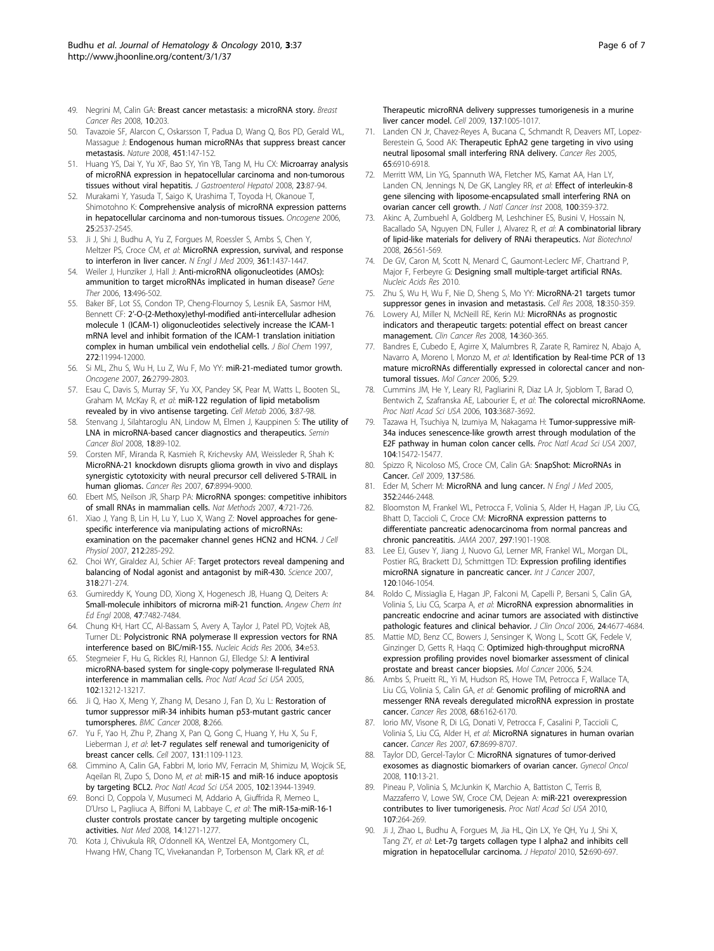- <span id="page-5-0"></span>49. Negrini M, Calin GA: [Breast cancer metastasis: a microRNA story.](http://www.ncbi.nlm.nih.gov/pubmed/18373886?dopt=Abstract) Breast Cancer Res 2008, 10:203.
- 50. Tavazoie SF, Alarcon C, Oskarsson T, Padua D, Wang Q, Bos PD, Gerald WL, Massague J: [Endogenous human microRNAs that suppress breast cancer](http://www.ncbi.nlm.nih.gov/pubmed/18185580?dopt=Abstract) [metastasis.](http://www.ncbi.nlm.nih.gov/pubmed/18185580?dopt=Abstract) Nature 2008, 451:147-152.
- 51. Huang YS, Dai Y, Yu XF, Bao SY, Yin YB, Tang M, Hu CX: [Microarray analysis](http://www.ncbi.nlm.nih.gov/pubmed/18171346?dopt=Abstract) [of microRNA expression in hepatocellular carcinoma and non-tumorous](http://www.ncbi.nlm.nih.gov/pubmed/18171346?dopt=Abstract) [tissues without viral hepatitis.](http://www.ncbi.nlm.nih.gov/pubmed/18171346?dopt=Abstract) J Gastroenterol Hepatol 2008, 23:87-94.
- 52. Murakami Y, Yasuda T, Saigo K, Urashima T, Toyoda H, Okanoue T, Shimotohno K: [Comprehensive analysis of microRNA expression patterns](http://www.ncbi.nlm.nih.gov/pubmed/16331254?dopt=Abstract) [in hepatocellular carcinoma and non-tumorous tissues.](http://www.ncbi.nlm.nih.gov/pubmed/16331254?dopt=Abstract) Oncogene 2006, 25:2537-2545.
- 53. Ji J, Shi J, Budhu A, Yu Z, Forgues M, Roessler S, Ambs S, Chen Y, Meltzer PS, Croce CM, et al: [MicroRNA expression, survival, and response](http://www.ncbi.nlm.nih.gov/pubmed/19812400?dopt=Abstract) [to interferon in liver cancer.](http://www.ncbi.nlm.nih.gov/pubmed/19812400?dopt=Abstract) N Engl J Med 2009, 361:1437-1447
- 54. Weiler J, Hunziker J, Hall J: [Anti-microRNA oligonucleotides \(AMOs\):](http://www.ncbi.nlm.nih.gov/pubmed/16195701?dopt=Abstract) [ammunition to target microRNAs implicated in human disease?](http://www.ncbi.nlm.nih.gov/pubmed/16195701?dopt=Abstract) Gene Ther 2006, 13:496-502.
- 55. Baker BF, Lot SS, Condon TP, Cheng-Flournoy S, Lesnik EA, Sasmor HM, Bennett CF: 2'[-O-\(2-Methoxy\)ethyl-modified anti-intercellular adhesion](http://www.ncbi.nlm.nih.gov/pubmed/9115264?dopt=Abstract) [molecule 1 \(ICAM-1\) oligonucleotides selectively increase the ICAM-1](http://www.ncbi.nlm.nih.gov/pubmed/9115264?dopt=Abstract) [mRNA level and inhibit formation of the ICAM-1 translation initiation](http://www.ncbi.nlm.nih.gov/pubmed/9115264?dopt=Abstract) [complex in human umbilical vein endothelial cells.](http://www.ncbi.nlm.nih.gov/pubmed/9115264?dopt=Abstract) J Biol Chem 1997, 272:11994-12000.
- 56. Si ML, Zhu S, Wu H, Lu Z, Wu F, Mo YY: [miR-21-mediated tumor growth.](http://www.ncbi.nlm.nih.gov/pubmed/17072344?dopt=Abstract) Oncogene 2007, 26:2799-2803.
- 57. Esau C, Davis S, Murray SF, Yu XX, Pandey SK, Pear M, Watts L, Booten SL, Graham M, McKay R, et al: [miR-122 regulation of lipid metabolism](http://www.ncbi.nlm.nih.gov/pubmed/16459310?dopt=Abstract) [revealed by in vivo antisense targeting.](http://www.ncbi.nlm.nih.gov/pubmed/16459310?dopt=Abstract) Cell Metab 2006, 3:87-98.
- 58. Stenvang J, Silahtaroglu AN, Lindow M, Elmen J, Kauppinen S: [The utility of](http://www.ncbi.nlm.nih.gov/pubmed/18295505?dopt=Abstract) [LNA in microRNA-based cancer diagnostics and therapeutics.](http://www.ncbi.nlm.nih.gov/pubmed/18295505?dopt=Abstract) Semin Cancer Biol 2008, 18:89-102.
- 59. Corsten MF, Miranda R, Kasmieh R, Krichevsky AM, Weissleder R, Shah K: [MicroRNA-21 knockdown disrupts glioma growth in vivo and displays](http://www.ncbi.nlm.nih.gov/pubmed/17908999?dopt=Abstract) [synergistic cytotoxicity with neural precursor cell delivered S-TRAIL in](http://www.ncbi.nlm.nih.gov/pubmed/17908999?dopt=Abstract) [human gliomas.](http://www.ncbi.nlm.nih.gov/pubmed/17908999?dopt=Abstract) Cancer Res 2007, 67:8994-9000.
- 60. Ebert MS, Neilson JR, Sharp PA: [MicroRNA sponges: competitive inhibitors](http://www.ncbi.nlm.nih.gov/pubmed/17694064?dopt=Abstract) [of small RNAs in mammalian cells.](http://www.ncbi.nlm.nih.gov/pubmed/17694064?dopt=Abstract) Nat Methods 2007, 4:721-726.
- 61. Xiao J, Yang B, Lin H, Lu Y, Luo X, Wang Z: [Novel approaches for gene](http://www.ncbi.nlm.nih.gov/pubmed/17516552?dopt=Abstract)[specific interference via manipulating actions of microRNAs:](http://www.ncbi.nlm.nih.gov/pubmed/17516552?dopt=Abstract) [examination on the pacemaker channel genes HCN2 and HCN4.](http://www.ncbi.nlm.nih.gov/pubmed/17516552?dopt=Abstract) J Cell Physiol 2007, 212:285-292.
- 62. Choi WY, Giraldez AJ, Schier AF: [Target protectors reveal dampening and](http://www.ncbi.nlm.nih.gov/pubmed/17761850?dopt=Abstract) [balancing of Nodal agonist and antagonist by miR-430.](http://www.ncbi.nlm.nih.gov/pubmed/17761850?dopt=Abstract) Science 2007, 318:271-274.
- 63. Gumireddy K, Young DD, Xiong X, Hogenesch JB, Huang Q, Deiters A: [Small-molecule inhibitors of microrna miR-21 function.](http://www.ncbi.nlm.nih.gov/pubmed/18712719?dopt=Abstract) Angew Chem Int Ed Engl 2008, 47:7482-7484.
- 64. Chung KH, Hart CC, Al-Bassam S, Avery A, Taylor J, Patel PD, Vojtek AB, Turner DL: [Polycistronic RNA polymerase II expression vectors for RNA](http://www.ncbi.nlm.nih.gov/pubmed/16614444?dopt=Abstract) [interference based on BIC/miR-155.](http://www.ncbi.nlm.nih.gov/pubmed/16614444?dopt=Abstract) Nucleic Acids Res 2006, 34:e53.
- 65. Stegmeier F, Hu G, Rickles RJ, Hannon GJ, Elledge SJ: [A lentiviral](http://www.ncbi.nlm.nih.gov/pubmed/16141338?dopt=Abstract) [microRNA-based system for single-copy polymerase II-regulated RNA](http://www.ncbi.nlm.nih.gov/pubmed/16141338?dopt=Abstract) [interference in mammalian cells.](http://www.ncbi.nlm.nih.gov/pubmed/16141338?dopt=Abstract) Proc Natl Acad Sci USA 2005, 102:13212-13217.
- 66. Ji Q, Hao X, Meng Y, Zhang M, Desano J, Fan D, Xu L: [Restoration of](http://www.ncbi.nlm.nih.gov/pubmed/18803879?dopt=Abstract) [tumor suppressor miR-34 inhibits human p53-mutant gastric cancer](http://www.ncbi.nlm.nih.gov/pubmed/18803879?dopt=Abstract) [tumorspheres.](http://www.ncbi.nlm.nih.gov/pubmed/18803879?dopt=Abstract) BMC Cancer 2008, 8:266.
- 67. Yu F, Yao H, Zhu P, Zhang X, Pan Q, Gong C, Huang Y, Hu X, Su F, Lieberman J, et al: [let-7 regulates self renewal and tumorigenicity of](http://www.ncbi.nlm.nih.gov/pubmed/18083101?dopt=Abstract) [breast cancer cells.](http://www.ncbi.nlm.nih.gov/pubmed/18083101?dopt=Abstract) Cell 2007, 131:1109-1123.
- 68. Cimmino A, Calin GA, Fabbri M, Iorio MV, Ferracin M, Shimizu M, Wojcik SE, Aqeilan RI, Zupo S, Dono M, et al: [miR-15 and miR-16 induce apoptosis](http://www.ncbi.nlm.nih.gov/pubmed/16166262?dopt=Abstract) [by targeting BCL2.](http://www.ncbi.nlm.nih.gov/pubmed/16166262?dopt=Abstract) Proc Natl Acad Sci USA 2005, 102:13944-13949.
- 69. Bonci D, Coppola V, Musumeci M, Addario A, Giuffrida R, Memeo L, D'Urso L, Pagliuca A, Biffoni M, Labbaye C, et al: [The miR-15a-miR-16-1](http://www.ncbi.nlm.nih.gov/pubmed/18931683?dopt=Abstract) [cluster controls prostate cancer by targeting multiple oncogenic](http://www.ncbi.nlm.nih.gov/pubmed/18931683?dopt=Abstract) [activities.](http://www.ncbi.nlm.nih.gov/pubmed/18931683?dopt=Abstract) Nat Med 2008, 14:1271-1277.
- 70. Kota J, Chivukula RR, O'donnell KA, Wentzel EA, Montgomery CL, Hwang HW, Chang TC, Vivekanandan P, Torbenson M, Clark KR, et al:

[Therapeutic microRNA delivery suppresses tumorigenesis in a murine](http://www.ncbi.nlm.nih.gov/pubmed/19524505?dopt=Abstract) [liver cancer model.](http://www.ncbi.nlm.nih.gov/pubmed/19524505?dopt=Abstract) Cell 2009, 137:1005-1017.

- 71. Landen CN Jr, Chavez-Reyes A, Bucana C, Schmandt R, Deavers MT, Lopez-Berestein G, Sood AK: [Therapeutic EphA2 gene targeting in vivo using](http://www.ncbi.nlm.nih.gov/pubmed/16061675?dopt=Abstract) [neutral liposomal small interfering RNA delivery.](http://www.ncbi.nlm.nih.gov/pubmed/16061675?dopt=Abstract) Cancer Res 2005, 65:6910-6918.
- 72. Merritt WM, Lin YG, Spannuth WA, Fletcher MS, Kamat AA, Han LY, Landen CN, Jennings N, De GK, Langley RR, et al: [Effect of interleukin-8](http://www.ncbi.nlm.nih.gov/pubmed/18314475?dopt=Abstract) [gene silencing with liposome-encapsulated small interfering RNA on](http://www.ncbi.nlm.nih.gov/pubmed/18314475?dopt=Abstract) [ovarian cancer cell growth.](http://www.ncbi.nlm.nih.gov/pubmed/18314475?dopt=Abstract) J Natl Cancer Inst 2008, 100:359-372.
- 73. Akinc A, Zumbuehl A, Goldberg M, Leshchiner ES, Busini V, Hossain N, Bacallado SA, Nguyen DN, Fuller J, Alvarez R, et al: [A combinatorial library](http://www.ncbi.nlm.nih.gov/pubmed/18438401?dopt=Abstract) [of lipid-like materials for delivery of RNAi therapeutics.](http://www.ncbi.nlm.nih.gov/pubmed/18438401?dopt=Abstract) Nat Biotechnol 2008, 26:561-569.
- 74. De GV, Caron M, Scott N, Menard C, Gaumont-Leclerc MF, Chartrand P, Major F, Ferbeyre G: Designing small multiple-target artificial RNAs. Nucleic Acids Res 2010.
- 75. Zhu S, Wu H, Wu F, Nie D, Sheng S, Mo YY: [MicroRNA-21 targets tumor](http://www.ncbi.nlm.nih.gov/pubmed/18270520?dopt=Abstract) [suppressor genes in invasion and metastasis.](http://www.ncbi.nlm.nih.gov/pubmed/18270520?dopt=Abstract) Cell Res 2008, 18:350-359.
- 76. Lowery AJ, Miller N, McNeill RE, Kerin MJ: [MicroRNAs as prognostic](http://www.ncbi.nlm.nih.gov/pubmed/18223209?dopt=Abstract) [indicators and therapeutic targets: potential effect on breast cancer](http://www.ncbi.nlm.nih.gov/pubmed/18223209?dopt=Abstract) [management.](http://www.ncbi.nlm.nih.gov/pubmed/18223209?dopt=Abstract) Clin Cancer Res 2008, 14:360-365.
- 77. Bandres E, Cubedo E, Agirre X, Malumbres R, Zarate R, Ramirez N, Abajo A, Navarro A, Moreno I, Monzo M, et al: [Identification by Real-time PCR of 13](http://www.ncbi.nlm.nih.gov/pubmed/16854228?dopt=Abstract) [mature microRNAs differentially expressed in colorectal cancer and non](http://www.ncbi.nlm.nih.gov/pubmed/16854228?dopt=Abstract)[tumoral tissues.](http://www.ncbi.nlm.nih.gov/pubmed/16854228?dopt=Abstract) Mol Cancer 2006, 5:29.
- Cummins JM, He Y, Leary RJ, Pagliarini R, Diaz LA Jr, Sjoblom T, Barad O, Bentwich Z, Szafranska AE, Labourier E, et al: [The colorectal microRNAome.](http://www.ncbi.nlm.nih.gov/pubmed/16505370?dopt=Abstract) Proc Natl Acad Sci USA 2006, 103:3687-3692.
- 79. Tazawa H, Tsuchiya N, Izumiya M, Nakagama H: [Tumor-suppressive miR-](http://www.ncbi.nlm.nih.gov/pubmed/17875987?dopt=Abstract)[34a induces senescence-like growth arrest through modulation of the](http://www.ncbi.nlm.nih.gov/pubmed/17875987?dopt=Abstract) [E2F pathway in human colon cancer cells.](http://www.ncbi.nlm.nih.gov/pubmed/17875987?dopt=Abstract) Proc Natl Acad Sci USA 2007, 104:15472-15477.
- 80. Spizzo R, Nicoloso MS, Croce CM, Calin GA: [SnapShot: MicroRNAs in](http://www.ncbi.nlm.nih.gov/pubmed/19410551?dopt=Abstract) [Cancer.](http://www.ncbi.nlm.nih.gov/pubmed/19410551?dopt=Abstract) Cell 2009, 137:586.
- 81. Eder M, Scherr M: [MicroRNA and lung cancer.](http://www.ncbi.nlm.nih.gov/pubmed/15944431?dopt=Abstract) N Engl J Med 2005, 352:2446-2448.
- 82. Bloomston M, Frankel WL, Petrocca F, Volinia S, Alder H, Hagan JP, Liu CG, Bhatt D, Taccioli C, Croce CM: [MicroRNA expression patterns to](http://www.ncbi.nlm.nih.gov/pubmed/17473300?dopt=Abstract) [differentiate pancreatic adenocarcinoma from normal pancreas and](http://www.ncbi.nlm.nih.gov/pubmed/17473300?dopt=Abstract) [chronic pancreatitis.](http://www.ncbi.nlm.nih.gov/pubmed/17473300?dopt=Abstract) JAMA 2007, 297:1901-1908.
- Lee EJ, Gusev Y, Jiang J, Nuovo GJ, Lerner MR, Frankel WL, Morgan DL, Postier RG, Brackett DJ, Schmittgen TD: [Expression profiling identifies](http://www.ncbi.nlm.nih.gov/pubmed/17149698?dopt=Abstract) [microRNA signature in pancreatic cancer.](http://www.ncbi.nlm.nih.gov/pubmed/17149698?dopt=Abstract) Int J Cancer 2007, 120:1046-1054.
- 84. Roldo C, Missiaglia E, Hagan JP, Falconi M, Capelli P, Bersani S, Calin GA, Volinia S, Liu CG, Scarpa A, et al: [MicroRNA expression abnormalities in](http://www.ncbi.nlm.nih.gov/pubmed/16966691?dopt=Abstract) [pancreatic endocrine and acinar tumors are associated with distinctive](http://www.ncbi.nlm.nih.gov/pubmed/16966691?dopt=Abstract) [pathologic features and clinical behavior.](http://www.ncbi.nlm.nih.gov/pubmed/16966691?dopt=Abstract) J Clin Oncol 2006, 24:4677-4684.
- 85. Mattie MD, Benz CC, Bowers J, Sensinger K, Wong L, Scott GK, Fedele V, Ginzinger D, Getts R, Haqq C: [Optimized high-throughput microRNA](http://www.ncbi.nlm.nih.gov/pubmed/16784538?dopt=Abstract) [expression profiling provides novel biomarker assessment of clinical](http://www.ncbi.nlm.nih.gov/pubmed/16784538?dopt=Abstract) [prostate and breast cancer biopsies.](http://www.ncbi.nlm.nih.gov/pubmed/16784538?dopt=Abstract) Mol Cancer 2006, 5:24.
- 86. Ambs S, Prueitt RL, Yi M, Hudson RS, Howe TM, Petrocca F, Wallace TA, Liu CG, Volinia S, Calin GA, et al: [Genomic profiling of microRNA and](http://www.ncbi.nlm.nih.gov/pubmed/18676839?dopt=Abstract) [messenger RNA reveals deregulated microRNA expression in prostate](http://www.ncbi.nlm.nih.gov/pubmed/18676839?dopt=Abstract) [cancer.](http://www.ncbi.nlm.nih.gov/pubmed/18676839?dopt=Abstract) Cancer Res 2008, 68:6162-6170.
- 87. Iorio MV, Visone R, Di LG, Donati V, Petrocca F, Casalini P, Taccioli C, Volinia S, Liu CG, Alder H, et al: [MicroRNA signatures in human ovarian](http://www.ncbi.nlm.nih.gov/pubmed/17875710?dopt=Abstract) [cancer.](http://www.ncbi.nlm.nih.gov/pubmed/17875710?dopt=Abstract) Cancer Res 2007, 67:8699-8707.
- 88. Taylor DD, Gercel-Taylor C: [MicroRNA signatures of tumor-derived](http://www.ncbi.nlm.nih.gov/pubmed/18589210?dopt=Abstract) [exosomes as diagnostic biomarkers of ovarian cancer.](http://www.ncbi.nlm.nih.gov/pubmed/18589210?dopt=Abstract) Gynecol Oncol 2008, 110:13-21.
- 89. Pineau P, Volinia S, McJunkin K, Marchio A, Battiston C, Terris B, Mazzaferro V, Lowe SW, Croce CM, Dejean A: [miR-221 overexpression](http://www.ncbi.nlm.nih.gov/pubmed/20018759?dopt=Abstract) [contributes to liver tumorigenesis.](http://www.ncbi.nlm.nih.gov/pubmed/20018759?dopt=Abstract) Proc Natl Acad Sci USA 2010, 107:264-269.
- 90. Ji J, Zhao L, Budhu A, Forgues M, Jia HL, Qin LX, Ye QH, Yu J, Shi X, Tang ZY, et al: [Let-7g targets collagen type I alpha2 and inhibits cell](http://www.ncbi.nlm.nih.gov/pubmed/20338660?dopt=Abstract) [migration in hepatocellular carcinoma.](http://www.ncbi.nlm.nih.gov/pubmed/20338660?dopt=Abstract) J Hepatol 2010, 52:690-697.